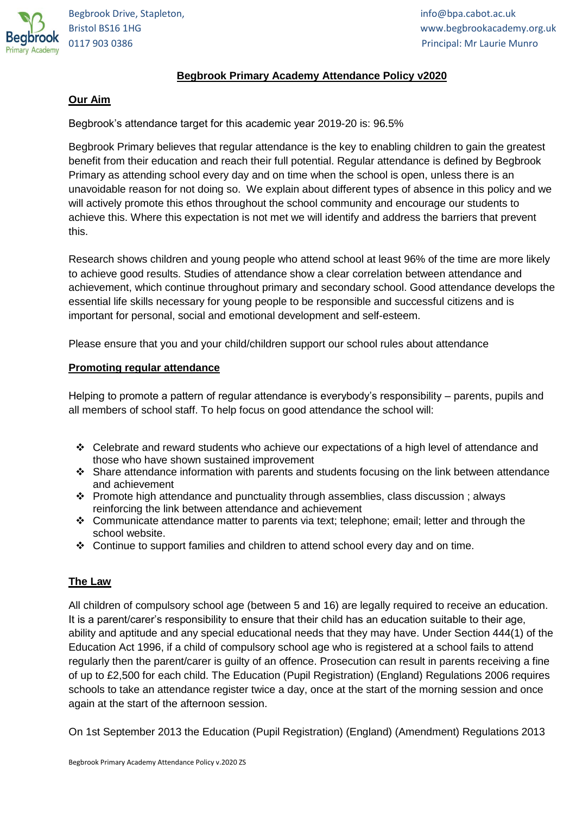

# **Begbrook Primary Academy Attendance Policy v2020**

#### **Our Aim**

Begbrook's attendance target for this academic year 2019-20 is: 96.5%

Begbrook Primary believes that regular attendance is the key to enabling children to gain the greatest benefit from their education and reach their full potential. Regular attendance is defined by Begbrook Primary as attending school every day and on time when the school is open, unless there is an unavoidable reason for not doing so. We explain about different types of absence in this policy and we will actively promote this ethos throughout the school community and encourage our students to achieve this. Where this expectation is not met we will identify and address the barriers that prevent this.

Research shows children and young people who attend school at least 96% of the time are more likely to achieve good results. Studies of attendance show a clear correlation between attendance and achievement, which continue throughout primary and secondary school. Good attendance develops the essential life skills necessary for young people to be responsible and successful citizens and is important for personal, social and emotional development and self-esteem.

Please ensure that you and your child/children support our school rules about attendance

#### **Promoting regular attendance**

Helping to promote a pattern of regular attendance is everybody's responsibility – parents, pupils and all members of school staff. To help focus on good attendance the school will:

- Celebrate and reward students who achieve our expectations of a high level of attendance and those who have shown sustained improvement
- \* Share attendance information with parents and students focusing on the link between attendance and achievement
- $\cdot \cdot$  Promote high attendance and punctuality through assemblies, class discussion ; always reinforcing the link between attendance and achievement
- Communicate attendance matter to parents via text; telephone; email; letter and through the school website.
- Continue to support families and children to attend school every day and on time.

# **The Law**

All children of compulsory school age (between 5 and 16) are legally required to receive an education. It is a parent/carer's responsibility to ensure that their child has an education suitable to their age, ability and aptitude and any special educational needs that they may have. Under Section 444(1) of the Education Act 1996, if a child of compulsory school age who is registered at a school fails to attend regularly then the parent/carer is guilty of an offence. Prosecution can result in parents receiving a fine of up to £2,500 for each child. The Education (Pupil Registration) (England) Regulations 2006 requires schools to take an attendance register twice a day, once at the start of the morning session and once again at the start of the afternoon session.

On 1st September 2013 the Education (Pupil Registration) (England) (Amendment) Regulations 2013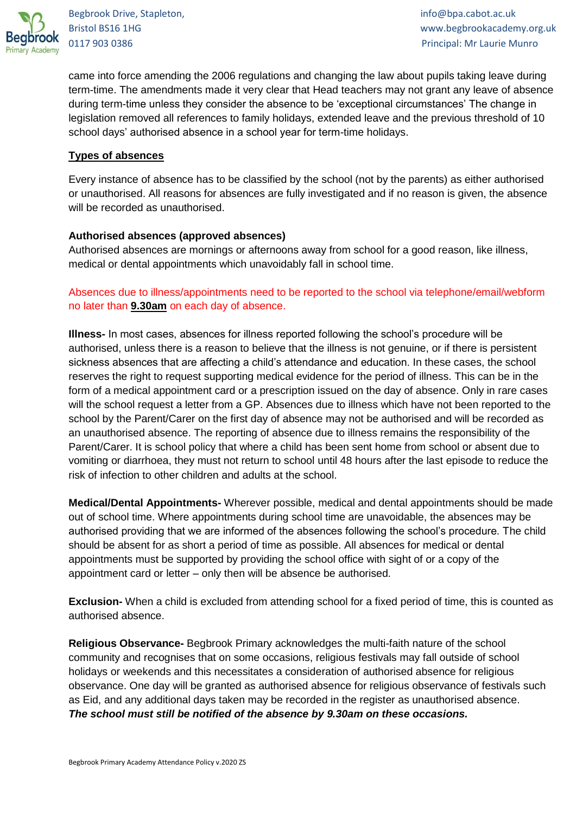

Bristol BS16 1HG www.begbrookacademy.org.uk 0117 903 0386 Principal: Mr Laurie Munro

came into force amending the 2006 regulations and changing the law about pupils taking leave during term-time. The amendments made it very clear that Head teachers may not grant any leave of absence during term-time unless they consider the absence to be 'exceptional circumstances' The change in legislation removed all references to family holidays, extended leave and the previous threshold of 10 school days' authorised absence in a school year for term-time holidays.

# **Types of absences**

Every instance of absence has to be classified by the school (not by the parents) as either authorised or unauthorised. All reasons for absences are fully investigated and if no reason is given, the absence will be recorded as unauthorised.

# **Authorised absences (approved absences)**

Authorised absences are mornings or afternoons away from school for a good reason, like illness, medical or dental appointments which unavoidably fall in school time.

Absences due to illness/appointments need to be reported to the school via telephone/email/webform no later than **9.30am** on each day of absence.

**Illness-** In most cases, absences for illness reported following the school's procedure will be authorised, unless there is a reason to believe that the illness is not genuine, or if there is persistent sickness absences that are affecting a child's attendance and education. In these cases, the school reserves the right to request supporting medical evidence for the period of illness. This can be in the form of a medical appointment card or a prescription issued on the day of absence. Only in rare cases will the school request a letter from a GP. Absences due to illness which have not been reported to the school by the Parent/Carer on the first day of absence may not be authorised and will be recorded as an unauthorised absence. The reporting of absence due to illness remains the responsibility of the Parent/Carer. It is school policy that where a child has been sent home from school or absent due to vomiting or diarrhoea, they must not return to school until 48 hours after the last episode to reduce the risk of infection to other children and adults at the school.

**Medical/Dental Appointments-** Wherever possible, medical and dental appointments should be made out of school time. Where appointments during school time are unavoidable, the absences may be authorised providing that we are informed of the absences following the school's procedure. The child should be absent for as short a period of time as possible. All absences for medical or dental appointments must be supported by providing the school office with sight of or a copy of the appointment card or letter – only then will be absence be authorised.

**Exclusion-** When a child is excluded from attending school for a fixed period of time, this is counted as authorised absence.

**Religious Observance-** Begbrook Primary acknowledges the multi-faith nature of the school community and recognises that on some occasions, religious festivals may fall outside of school holidays or weekends and this necessitates a consideration of authorised absence for religious observance. One day will be granted as authorised absence for religious observance of festivals such as Eid, and any additional days taken may be recorded in the register as unauthorised absence. *The school must still be notified of the absence by 9.30am on these occasions.*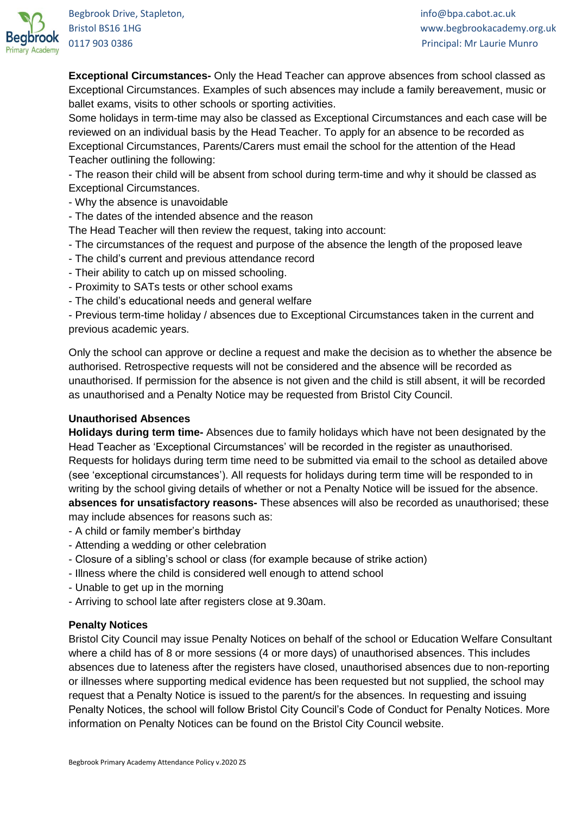

Bristol BS16 1HG www.begbrookacademy.org.uk 0117 903 0386 Principal: Mr Laurie Munro

**Exceptional Circumstances-** Only the Head Teacher can approve absences from school classed as Exceptional Circumstances. Examples of such absences may include a family bereavement, music or ballet exams, visits to other schools or sporting activities.

Some holidays in term-time may also be classed as Exceptional Circumstances and each case will be reviewed on an individual basis by the Head Teacher. To apply for an absence to be recorded as Exceptional Circumstances, Parents/Carers must email the school for the attention of the Head Teacher outlining the following:

- The reason their child will be absent from school during term-time and why it should be classed as Exceptional Circumstances.

- Why the absence is unavoidable
- The dates of the intended absence and the reason

The Head Teacher will then review the request, taking into account:

- The circumstances of the request and purpose of the absence the length of the proposed leave
- The child's current and previous attendance record
- Their ability to catch up on missed schooling.
- Proximity to SATs tests or other school exams
- The child's educational needs and general welfare

- Previous term-time holiday / absences due to Exceptional Circumstances taken in the current and previous academic years.

Only the school can approve or decline a request and make the decision as to whether the absence be authorised. Retrospective requests will not be considered and the absence will be recorded as unauthorised. If permission for the absence is not given and the child is still absent, it will be recorded as unauthorised and a Penalty Notice may be requested from Bristol City Council.

# **Unauthorised Absences**

**Holidays during term time-** Absences due to family holidays which have not been designated by the Head Teacher as 'Exceptional Circumstances' will be recorded in the register as unauthorised. Requests for holidays during term time need to be submitted via email to the school as detailed above (see 'exceptional circumstances'). All requests for holidays during term time will be responded to in writing by the school giving details of whether or not a Penalty Notice will be issued for the absence. **absences for unsatisfactory reasons-** These absences will also be recorded as unauthorised; these may include absences for reasons such as:

- A child or family member's birthday
- Attending a wedding or other celebration
- Closure of a sibling's school or class (for example because of strike action)
- Illness where the child is considered well enough to attend school
- Unable to get up in the morning
- Arriving to school late after registers close at 9.30am.

# **Penalty Notices**

Bristol City Council may issue Penalty Notices on behalf of the school or Education Welfare Consultant where a child has of 8 or more sessions (4 or more days) of unauthorised absences. This includes absences due to lateness after the registers have closed, unauthorised absences due to non-reporting or illnesses where supporting medical evidence has been requested but not supplied, the school may request that a Penalty Notice is issued to the parent/s for the absences. In requesting and issuing Penalty Notices, the school will follow Bristol City Council's Code of Conduct for Penalty Notices. More information on Penalty Notices can be found on the Bristol City Council website.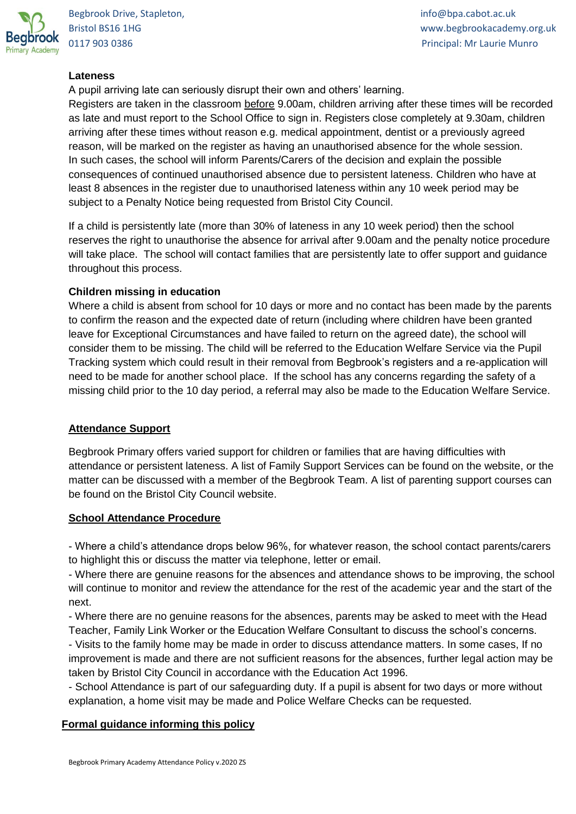

Bristol BS16 1HG www.begbrookacademy.org.uk 0117 903 0386 Principal: Mr Laurie Munro

# **Lateness**

A pupil arriving late can seriously disrupt their own and others' learning.

Registers are taken in the classroom before 9.00am, children arriving after these times will be recorded as late and must report to the School Office to sign in. Registers close completely at 9.30am, children arriving after these times without reason e.g. medical appointment, dentist or a previously agreed reason, will be marked on the register as having an unauthorised absence for the whole session. In such cases, the school will inform Parents/Carers of the decision and explain the possible consequences of continued unauthorised absence due to persistent lateness. Children who have at least 8 absences in the register due to unauthorised lateness within any 10 week period may be subject to a Penalty Notice being requested from Bristol City Council.

If a child is persistently late (more than 30% of lateness in any 10 week period) then the school reserves the right to unauthorise the absence for arrival after 9.00am and the penalty notice procedure will take place. The school will contact families that are persistently late to offer support and guidance throughout this process.

#### **Children missing in education**

Where a child is absent from school for 10 days or more and no contact has been made by the parents to confirm the reason and the expected date of return (including where children have been granted leave for Exceptional Circumstances and have failed to return on the agreed date), the school will consider them to be missing. The child will be referred to the Education Welfare Service via the Pupil Tracking system which could result in their removal from Begbrook's registers and a re-application will need to be made for another school place. If the school has any concerns regarding the safety of a missing child prior to the 10 day period, a referral may also be made to the Education Welfare Service.

# **Attendance Support**

Begbrook Primary offers varied support for children or families that are having difficulties with attendance or persistent lateness. A list of Family Support Services can be found on the website, or the matter can be discussed with a member of the Begbrook Team. A list of parenting support courses can be found on the Bristol City Council website.

#### **School Attendance Procedure**

- Where a child's attendance drops below 96%, for whatever reason, the school contact parents/carers to highlight this or discuss the matter via telephone, letter or email.

- Where there are genuine reasons for the absences and attendance shows to be improving, the school will continue to monitor and review the attendance for the rest of the academic year and the start of the next.

- Where there are no genuine reasons for the absences, parents may be asked to meet with the Head Teacher, Family Link Worker or the Education Welfare Consultant to discuss the school's concerns.

- Visits to the family home may be made in order to discuss attendance matters. In some cases, If no improvement is made and there are not sufficient reasons for the absences, further legal action may be taken by Bristol City Council in accordance with the Education Act 1996.

- School Attendance is part of our safeguarding duty. If a pupil is absent for two days or more without explanation, a home visit may be made and Police Welfare Checks can be requested.

#### **Formal guidance informing this policy**